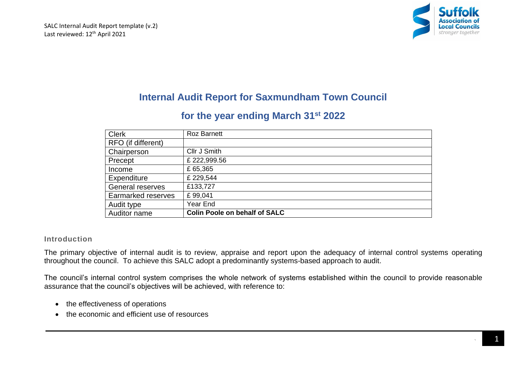

# **Internal Audit Report for Saxmundham Town Council**

# **for the year ending March 31st 2022**

| <b>Clerk</b>              | <b>Roz Barnett</b>                   |
|---------------------------|--------------------------------------|
| RFO (if different)        |                                      |
| Chairperson               | Cllr J Smith                         |
| Precept                   | £222,999.56                          |
| Income                    | £ 65,365                             |
| Expenditure               | £229,544                             |
| <b>General reserves</b>   | £133,727                             |
| <b>Earmarked reserves</b> | £99,041                              |
| Audit type                | Year End                             |
| Auditor name              | <b>Colin Poole on behalf of SALC</b> |

## **Introduction**

The primary objective of internal audit is to review, appraise and report upon the adequacy of internal control systems operating throughout the council. To achieve this SALC adopt a predominantly systems-based approach to audit.

The council's internal control system comprises the whole network of systems established within the council to provide reasonable assurance that the council's objectives will be achieved, with reference to:

- the effectiveness of operations
- the economic and efficient use of resources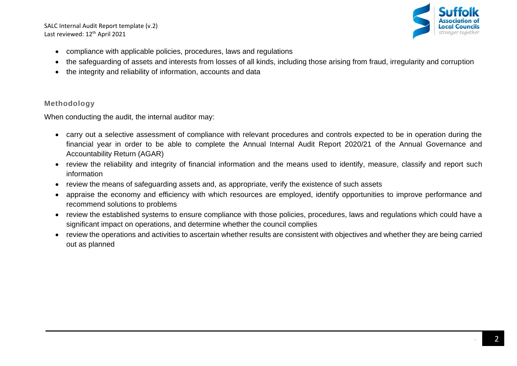SALC Internal Audit Report template (v.2) Last reviewed: 12<sup>th</sup> April 2021



- compliance with applicable policies, procedures, laws and regulations
- the safeguarding of assets and interests from losses of all kinds, including those arising from fraud, irregularity and corruption
- the integrity and reliability of information, accounts and data

## **Methodology**

When conducting the audit, the internal auditor may:

- carry out a selective assessment of compliance with relevant procedures and controls expected to be in operation during the financial year in order to be able to complete the Annual Internal Audit Report 2020/21 of the Annual Governance and Accountability Return (AGAR)
- review the reliability and integrity of financial information and the means used to identify, measure, classify and report such information
- review the means of safeguarding assets and, as appropriate, verify the existence of such assets
- appraise the economy and efficiency with which resources are employed, identify opportunities to improve performance and recommend solutions to problems
- review the established systems to ensure compliance with those policies, procedures, laws and regulations which could have a significant impact on operations, and determine whether the council complies
- review the operations and activities to ascertain whether results are consistent with objectives and whether they are being carried out as planned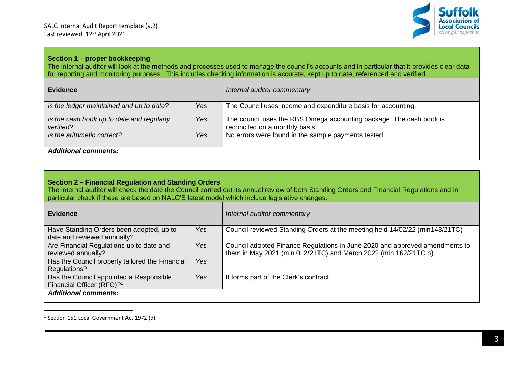

#### **Section 1 – proper bookkeeping**

The internal auditor will look at the methods and processes used to manage the council's accounts and in particular that it provides clear data for reporting and monitoring purposes. This includes checking information is accurate, kept up to date, referenced and verified.

| <b>Evidence</b>                                        |            | Internal auditor commentary                                                                           |  |  |
|--------------------------------------------------------|------------|-------------------------------------------------------------------------------------------------------|--|--|
| Is the ledger maintained and up to date?               | <b>Yes</b> | The Council uses income and expenditure basis for accounting.                                         |  |  |
| Is the cash book up to date and regularly<br>verified? | Yes        | The council uses the RBS Omega accounting package. The cash book is<br>reconciled on a monthly basis. |  |  |
| Is the arithmetic correct?                             | Yes        | No errors were found in the sample payments tested.                                                   |  |  |
| <b>Additional comments:</b>                            |            |                                                                                                       |  |  |

#### **Section 2 – Financial Regulation and Standing Orders**

The internal auditor will check the date the Council carried out its annual review of both Standing Orders and Financial Regulations and in particular check if these are based on NALC'S latest model which include legislative changes.

| <b>Evidence</b>                                                                  |     | Internal auditor commentary                                                                                                                    |  |  |
|----------------------------------------------------------------------------------|-----|------------------------------------------------------------------------------------------------------------------------------------------------|--|--|
| Have Standing Orders been adopted, up to<br>date and reviewed annually?          | Yes | Council reviewed Standing Orders at the meeting held 14/02/22 (min143/21TC)                                                                    |  |  |
| Are Financial Regulations up to date and<br>reviewed annually?                   | Yes | Council adopted Finance Regulations in June 2020 and approved amendments to<br>them in May 2021 (min 012/21TC) and March 2022 (min 162/21TC.b) |  |  |
| Has the Council properly tailored the Financial<br>Regulations?                  | Yes |                                                                                                                                                |  |  |
| Has the Council appointed a Responsible<br>Financial Officer (RFO)? <sup>1</sup> | Yes | It forms part of the Clerk's contract                                                                                                          |  |  |
| <b>Additional comments:</b>                                                      |     |                                                                                                                                                |  |  |

<sup>&</sup>lt;sup>1</sup> Section 151 Local Government Act 1972 (d)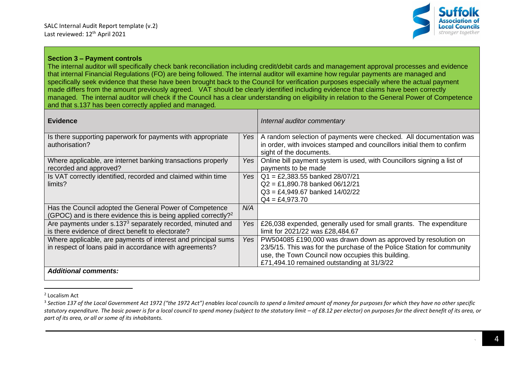

#### **Section 3 – Payment controls**

The internal auditor will specifically check bank reconciliation including credit/debit cards and management approval processes and evidence that internal Financial Regulations (FO) are being followed. The internal auditor will examine how regular payments are managed and specifically seek evidence that these have been brought back to the Council for verification purposes especially where the actual payment made differs from the amount previously agreed. VAT should be clearly identified including evidence that claims have been correctly managed. The internal auditor will check if the Council has a clear understanding on eligibility in relation to the General Power of Competence and that s.137 has been correctly applied and managed*.*

| <b>Evidence</b>                                                                                                                       |            | Internal auditor commentary                                                                                                                                                                                                                |
|---------------------------------------------------------------------------------------------------------------------------------------|------------|--------------------------------------------------------------------------------------------------------------------------------------------------------------------------------------------------------------------------------------------|
| Is there supporting paperwork for payments with appropriate<br>authorisation?                                                         | Yes        | A random selection of payments were checked. All documentation was<br>in order, with invoices stamped and councillors initial them to confirm<br>sight of the documents.                                                                   |
| Where applicable, are internet banking transactions properly<br>recorded and approved?                                                | Yes        | Online bill payment system is used, with Councillors signing a list of<br>payments to be made                                                                                                                                              |
| Is VAT correctly identified, recorded and claimed within time<br>limits?                                                              | Yes I      | $Q1 = \text{\textsterling}2,383.55$ banked 28/07/21<br>$Q2 = £1,890.78$ banked $06/12/21$<br>$Q3 = \text{\pounds}4,949.67$ banked 14/02/22<br>$Q4 = \text{\pounds}4,973.70$                                                                |
| Has the Council adopted the General Power of Competence<br>(GPOC) and is there evidence this is being applied correctly? <sup>2</sup> | N/A        |                                                                                                                                                                                                                                            |
| Are payments under s.137 <sup>3</sup> separately recorded, minuted and<br>is there evidence of direct benefit to electorate?          | <b>Yes</b> | £26,038 expended, generally used for small grants. The expenditure<br>limit for 2021/22 was £28,484.67                                                                                                                                     |
| Where applicable, are payments of interest and principal sums<br>in respect of loans paid in accordance with agreements?              | Yes        | PW504085 £190,000 was drawn down as approved by resolution on<br>23/5/15. This was for the purchase of the Police Station for community<br>use, the Town Council now occupies this building.<br>£71,494.10 remained outstanding at 31/3/22 |
| <b>Additional comments:</b>                                                                                                           |            |                                                                                                                                                                                                                                            |

<sup>2</sup> Localism Act

<sup>&</sup>lt;sup>3</sup> Section 137 of the Local Government Act 1972 ("the 1972 Act") enables local councils to spend a limited amount of money for purposes for which they have no other specific statutory expenditure. The basic power is for a local council to spend money (subject to the statutory limit  $-$  of £8.12 per elector) on purposes for the direct benefit of its area, or *part of its area, or all or some of its inhabitants.*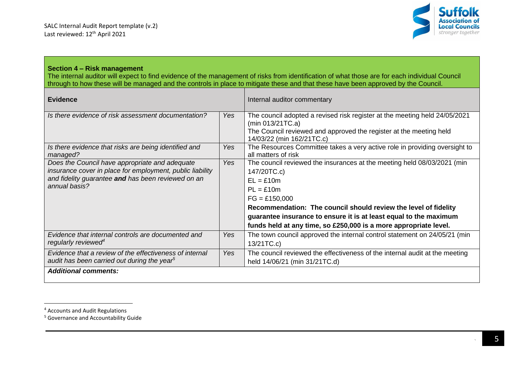

#### **Section 4 – Risk management**

The internal auditor will expect to find evidence of the management of risks from identification of what those are for each individual Council through to how these will be managed and the controls in place to mitigate these and that these have been approved by the Council.

| <b>Evidence</b>                                                                                                                                                                    |            | Internal auditor commentary                                                                                                                                                                                                                                                                                                                         |
|------------------------------------------------------------------------------------------------------------------------------------------------------------------------------------|------------|-----------------------------------------------------------------------------------------------------------------------------------------------------------------------------------------------------------------------------------------------------------------------------------------------------------------------------------------------------|
| Is there evidence of risk assessment documentation?                                                                                                                                | Yes        | The council adopted a revised risk register at the meeting held 24/05/2021<br>(min 013/21TC.a)<br>The Council reviewed and approved the register at the meeting held<br>14/03/22 (min 162/21TC.c)                                                                                                                                                   |
| Is there evidence that risks are being identified and<br>managed?                                                                                                                  | Yes        | The Resources Committee takes a very active role in providing oversight to<br>all matters of risk                                                                                                                                                                                                                                                   |
| Does the Council have appropriate and adequate<br>insurance cover in place for employment, public liability<br>and fidelity guarantee and has been reviewed on an<br>annual basis? | Yes        | The council reviewed the insurances at the meeting held 08/03/2021 (min<br>147/20TC.c)<br>$EL = £10m$<br>$PL = £10m$<br>$FG = £150,000$<br>Recommendation: The council should review the level of fidelity<br>guarantee insurance to ensure it is at least equal to the maximum<br>funds held at any time, so £250,000 is a more appropriate level. |
| Evidence that internal controls are documented and<br>regularly reviewed <sup>4</sup>                                                                                              | <b>Yes</b> | The town council approved the internal control statement on 24/05/21 (min<br>13/21TC.c)                                                                                                                                                                                                                                                             |
| Evidence that a review of the effectiveness of internal<br>audit has been carried out during the year <sup>5</sup>                                                                 | <b>Yes</b> | The council reviewed the effectiveness of the internal audit at the meeting<br>held 14/06/21 (min 31/21TC.d)                                                                                                                                                                                                                                        |
| <b>Additional comments:</b>                                                                                                                                                        |            |                                                                                                                                                                                                                                                                                                                                                     |

<sup>4</sup> Accounts and Audit Regulations

<sup>5</sup> Governance and Accountability Guide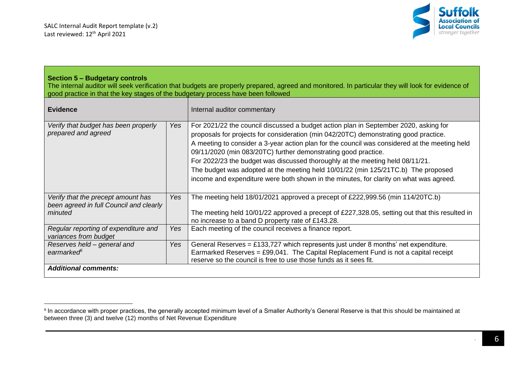

#### **Section 5 – Budgetary controls**

The internal auditor will seek verification that budgets are properly prepared, agreed and monitored. In particular they will look for evidence of good practice in that the key stages of the budgetary process have been followed

| <b>Evidence</b>                                                                          |            | Internal auditor commentary                                                                                                                                                                                                                                                                                                                                                                                                                                                                                                                                                                                     |  |  |  |
|------------------------------------------------------------------------------------------|------------|-----------------------------------------------------------------------------------------------------------------------------------------------------------------------------------------------------------------------------------------------------------------------------------------------------------------------------------------------------------------------------------------------------------------------------------------------------------------------------------------------------------------------------------------------------------------------------------------------------------------|--|--|--|
| Verify that budget has been properly<br>prepared and agreed                              | Yes        | For 2021/22 the council discussed a budget action plan in September 2020, asking for<br>proposals for projects for consideration (min 042/20TC) demonstrating good practice.<br>A meeting to consider a 3-year action plan for the council was considered at the meeting held<br>09/11/2020 (min 083/20TC) further demonstrating good practice.<br>For 2022/23 the budget was discussed thoroughly at the meeting held 08/11/21.<br>The budget was adopted at the meeting held 10/01/22 (min 125/21TC.b) The proposed<br>income and expenditure were both shown in the minutes, for clarity on what was agreed. |  |  |  |
| Verify that the precept amount has<br>been agreed in full Council and clearly<br>minuted | Yes        | The meeting held 18/01/2021 approved a precept of £222,999.56 (min 114/20TC.b)<br>The meeting held 10/01/22 approved a precept of £227,328.05, setting out that this resulted in<br>no increase to a band D property rate of £143.28.                                                                                                                                                                                                                                                                                                                                                                           |  |  |  |
| Regular reporting of expenditure and<br>variances from budget                            | <b>Yes</b> | Each meeting of the council receives a finance report.                                                                                                                                                                                                                                                                                                                                                                                                                                                                                                                                                          |  |  |  |
| Reserves held - general and<br>earmarked <sup>6</sup>                                    | Yes        | General Reserves = £133,727 which represents just under 8 months' net expenditure.<br>Earmarked Reserves = $£99,041$ . The Capital Replacement Fund is not a capital receipt<br>reserve so the council is free to use those funds as it sees fit.                                                                                                                                                                                                                                                                                                                                                               |  |  |  |
| <b>Additional comments:</b>                                                              |            |                                                                                                                                                                                                                                                                                                                                                                                                                                                                                                                                                                                                                 |  |  |  |

 $^{\rm 6}$  In accordance with proper practices, the generally accepted minimum level of a Smaller Authority's General Reserve is that this should be maintained at between three (3) and twelve (12) months of Net Revenue Expenditure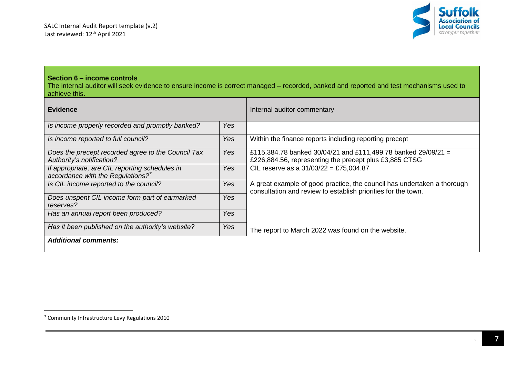

## **Section 6 – income controls**

The internal auditor will seek evidence to ensure income is correct managed – recorded, banked and reported and test mechanisms used to achieve this.

| <b>Evidence</b>                                                                          |            | Internal auditor commentary                                                                                                              |
|------------------------------------------------------------------------------------------|------------|------------------------------------------------------------------------------------------------------------------------------------------|
| Is income properly recorded and promptly banked?                                         | Yes        |                                                                                                                                          |
| Is income reported to full council?                                                      | Yes        | Within the finance reports including reporting precept                                                                                   |
| Does the precept recorded agree to the Council Tax<br>Authority's notification?          | Yes        | £115,384.78 banked 30/04/21 and £111,499.78 banked 29/09/21 =<br>£226,884.56, representing the precept plus £3,885 CTSG                  |
| If appropriate, are CIL reporting schedules in<br>accordance with the Regulations? $7^7$ | <b>Yes</b> | CIL reserve as a $31/03/22 = £75,004.87$                                                                                                 |
| Is CIL income reported to the council?                                                   | <b>Yes</b> | A great example of good practice, the council has undertaken a thorough<br>consultation and review to establish priorities for the town. |
| Does unspent CIL income form part of earmarked<br>reserves?                              | Yes        |                                                                                                                                          |
| Has an annual report been produced?                                                      | Yes        |                                                                                                                                          |
| Has it been published on the authority's website?                                        | Yes        | The report to March 2022 was found on the website.                                                                                       |
| <b>Additional comments:</b>                                                              |            |                                                                                                                                          |

<sup>7</sup> Community Infrastructure Levy Regulations 2010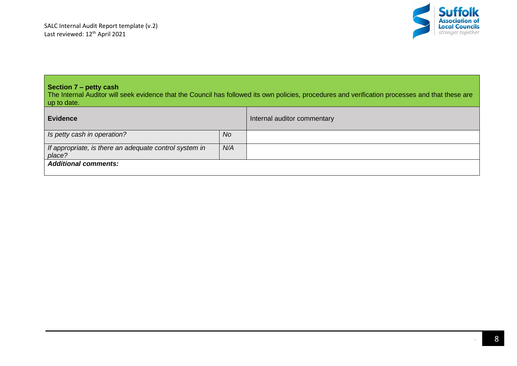

# **Section 7 – petty cash**

The Internal Auditor will seek evidence that the Council has followed its own policies, procedures and verification processes and that these are up to date.

| <b>Evidence</b>                                                  |     | Internal auditor commentary |
|------------------------------------------------------------------|-----|-----------------------------|
| Is petty cash in operation?                                      | No. |                             |
| If appropriate, is there an adequate control system in<br>place? | N/A |                             |
| <b>Additional comments:</b>                                      |     |                             |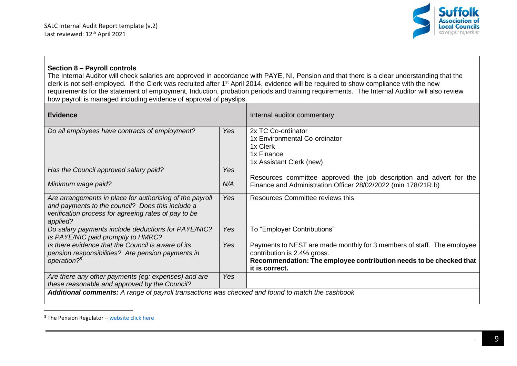

## **Section 8 – Payroll controls**

The Internal Auditor will check salaries are approved in accordance with PAYE, NI, Pension and that there is a clear understanding that the clerk is not self-employed. If the Clerk was recruited after 1<sup>st</sup> April 2014, evidence will be required to show compliance with the new requirements for the statement of employment, Induction, probation periods and training requirements. The Internal Auditor will also review how payroll is managed including evidence of approval of payslips.

| <b>Evidence</b>                                                                                                                                                                  |            | Internal auditor commentary                                                                                                                                                                   |
|----------------------------------------------------------------------------------------------------------------------------------------------------------------------------------|------------|-----------------------------------------------------------------------------------------------------------------------------------------------------------------------------------------------|
| Do all employees have contracts of employment?                                                                                                                                   | <b>Yes</b> | 2x TC Co-ordinator<br>1x Environmental Co-ordinator<br>1x Clerk<br>1x Finance<br>1x Assistant Clerk (new)                                                                                     |
| Has the Council approved salary paid?                                                                                                                                            | <b>Yes</b> | Resources committee approved the job description and advert for the                                                                                                                           |
| Minimum wage paid?                                                                                                                                                               | N/A        | Finance and Administration Officer 28/02/2022 (min 178/21R.b)                                                                                                                                 |
| Are arrangements in place for authorising of the payroll<br>and payments to the council? Does this include a<br>verification process for agreeing rates of pay to be<br>applied? | <b>Yes</b> | Resources Committee reviews this                                                                                                                                                              |
| Do salary payments include deductions for PAYE/NIC?<br>Is PAYE/NIC paid promptly to HMRC?                                                                                        | <b>Yes</b> | To "Employer Contributions"                                                                                                                                                                   |
| Is there evidence that the Council is aware of its<br>pension responsibilities? Are pension payments in<br>operation? <sup>8</sup>                                               | Yes        | Payments to NEST are made monthly for 3 members of staff. The employee<br>contribution is 2.4% gross.<br>Recommendation: The employee contribution needs to be checked that<br>it is correct. |
| Are there any other payments (eg: expenses) and are<br>these reasonable and approved by the Council?                                                                             | <b>Yes</b> |                                                                                                                                                                                               |
| Additional comments: A range of payroll transactions was checked and found to match the cashbook                                                                                 |            |                                                                                                                                                                                               |

 $8$  The Pension Regulator – [website click here](https://www.thepensionsregulator.gov.uk/en/employers)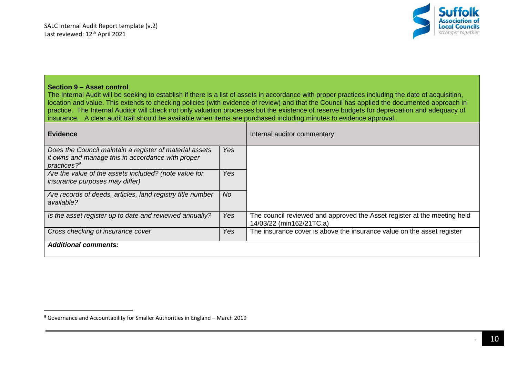

#### **Section 9 – Asset control**

The Internal Audit will be seeking to establish if there is a list of assets in accordance with proper practices including the date of acquisition, location and value. This extends to checking policies (with evidence of review) and that the Council has applied the documented approach in practice. The Internal Auditor will check not only valuation processes but the existence of reserve budgets for depreciation and adequacy of insurance. A clear audit trail should be available when items are purchased including minutes to evidence approval.

| <b>Evidence</b>                                                                                                                  |     | Internal auditor commentary                                                                          |
|----------------------------------------------------------------------------------------------------------------------------------|-----|------------------------------------------------------------------------------------------------------|
| Does the Council maintain a register of material assets<br>it owns and manage this in accordance with proper<br>practices? $9^9$ | Yes |                                                                                                      |
| Are the value of the assets included? (note value for<br><i>insurance purposes may differ)</i>                                   | Yes |                                                                                                      |
| Are records of deeds, articles, land registry title number<br>available?                                                         | No. |                                                                                                      |
| Is the asset register up to date and reviewed annually?                                                                          | Yes | The council reviewed and approved the Asset register at the meeting held<br>14/03/22 (min162/21TC.a) |
| Cross checking of insurance cover                                                                                                | Yes | The insurance cover is above the insurance value on the asset register                               |
| <b>Additional comments:</b>                                                                                                      |     |                                                                                                      |

<sup>9</sup> Governance and Accountability for Smaller Authorities in England – March 2019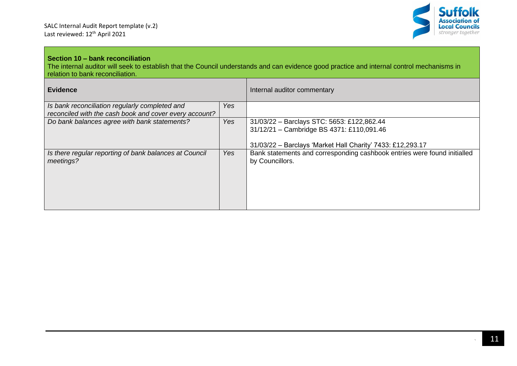

# **Section 10 – bank reconciliation**

The internal auditor will seek to establish that the Council understands and can evidence good practice and internal control mechanisms in relation to bank reconciliation.

| <b>Evidence</b>                                                                                          |            | Internal auditor commentary                                                                                                                           |
|----------------------------------------------------------------------------------------------------------|------------|-------------------------------------------------------------------------------------------------------------------------------------------------------|
| Is bank reconciliation regularly completed and<br>reconciled with the cash book and cover every account? | Yes        |                                                                                                                                                       |
| Do bank balances agree with bank statements?                                                             | <b>Yes</b> | 31/03/22 - Barclays STC: 5653: £122,862.44<br>31/12/21 - Cambridge BS 4371: £110,091.46<br>31/03/22 - Barclays 'Market Hall Charity' 7433: £12,293.17 |
| Is there regular reporting of bank balances at Council<br>meetings?                                      | <b>Yes</b> | Bank statements and corresponding cashbook entries were found initialled<br>by Councillors.                                                           |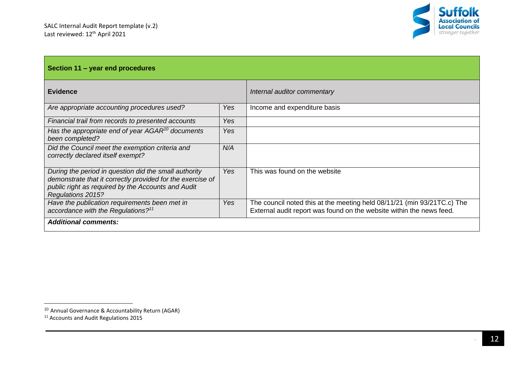

| Section 11 – year end procedures                                                                                                                                                               |            |                                                                                                                                                 |  |
|------------------------------------------------------------------------------------------------------------------------------------------------------------------------------------------------|------------|-------------------------------------------------------------------------------------------------------------------------------------------------|--|
| <b>Evidence</b>                                                                                                                                                                                |            | Internal auditor commentary                                                                                                                     |  |
| Are appropriate accounting procedures used?                                                                                                                                                    | <b>Yes</b> | Income and expenditure basis                                                                                                                    |  |
| Financial trail from records to presented accounts                                                                                                                                             | <b>Yes</b> |                                                                                                                                                 |  |
| Has the appropriate end of year $AGAR^{10}$ documents<br>been completed?                                                                                                                       | Yes        |                                                                                                                                                 |  |
| Did the Council meet the exemption criteria and<br>correctly declared itself exempt?                                                                                                           | N/A        |                                                                                                                                                 |  |
| During the period in question did the small authority<br>demonstrate that it correctly provided for the exercise of<br>public right as required by the Accounts and Audit<br>Regulations 2015? | Yes        | This was found on the website                                                                                                                   |  |
| Have the publication requirements been met in<br>accordance with the Regulations? $11$                                                                                                         | <b>Yes</b> | The council noted this at the meeting held 08/11/21 (min 93/21TC.c) The<br>External audit report was found on the website within the news feed. |  |
| <b>Additional comments:</b>                                                                                                                                                                    |            |                                                                                                                                                 |  |

<sup>10</sup> Annual Governance & Accountability Return (AGAR)

<sup>&</sup>lt;sup>11</sup> Accounts and Audit Regulations 2015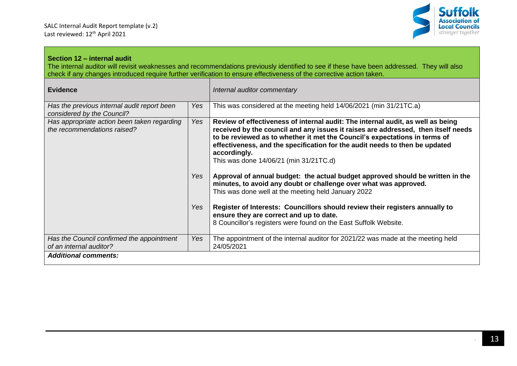

## **Section 12 – internal audit**

The internal auditor will revisit weaknesses and recommendations previously identified to see if these have been addressed. They will also check if any changes introduced require further verification to ensure effectiveness of the corrective action taken.

| <b>Evidence</b>                                                            |            | Internal auditor commentary                                                                                                                                                                                                                                                                                                                                                                 |  |
|----------------------------------------------------------------------------|------------|---------------------------------------------------------------------------------------------------------------------------------------------------------------------------------------------------------------------------------------------------------------------------------------------------------------------------------------------------------------------------------------------|--|
| Has the previous internal audit report been<br>considered by the Council?  | <b>Yes</b> | This was considered at the meeting held 14/06/2021 (min 31/21TC.a)                                                                                                                                                                                                                                                                                                                          |  |
| Has appropriate action been taken regarding<br>the recommendations raised? |            | Review of effectiveness of internal audit: The internal audit, as well as being<br>received by the council and any issues it raises are addressed, then itself needs<br>to be reviewed as to whether it met the Council's expectations in terms of<br>effectiveness, and the specification for the audit needs to then be updated<br>accordingly.<br>This was done 14/06/21 (min 31/21TC.d) |  |
|                                                                            | Yes        | Approval of annual budget: the actual budget approved should be written in the<br>minutes, to avoid any doubt or challenge over what was approved.<br>This was done well at the meeting held January 2022                                                                                                                                                                                   |  |
|                                                                            | Yes        | Register of Interests: Councillors should review their registers annually to<br>ensure they are correct and up to date.<br>8 Councillor's registers were found on the East Suffolk Website.                                                                                                                                                                                                 |  |
| Has the Council confirmed the appointment<br>of an internal auditor?       | Yes        | The appointment of the internal auditor for 2021/22 was made at the meeting held<br>24/05/2021                                                                                                                                                                                                                                                                                              |  |
| <b>Additional comments:</b>                                                |            |                                                                                                                                                                                                                                                                                                                                                                                             |  |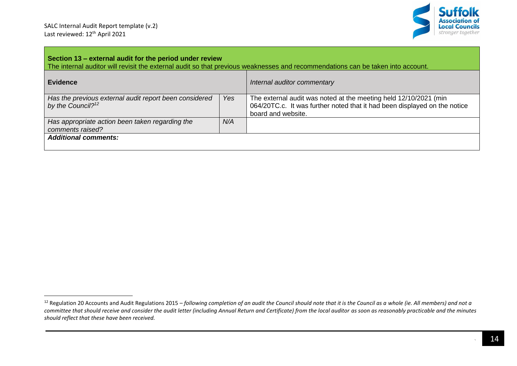

| Section 13 – external audit for the period under review<br>The internal auditor will revisit the external audit so that previous weaknesses and recommendations can be taken into account. |     |                                                                                                                                                                     |  |  |  |
|--------------------------------------------------------------------------------------------------------------------------------------------------------------------------------------------|-----|---------------------------------------------------------------------------------------------------------------------------------------------------------------------|--|--|--|
| <b>Evidence</b>                                                                                                                                                                            |     | Internal auditor commentary                                                                                                                                         |  |  |  |
| Has the previous external audit report been considered<br>by the Council? <sup>12</sup>                                                                                                    | Yes | The external audit was noted at the meeting held 12/10/2021 (min<br>064/20TC.c. It was further noted that it had been displayed on the notice<br>board and website. |  |  |  |
| Has appropriate action been taken regarding the<br>comments raised?                                                                                                                        | N/A |                                                                                                                                                                     |  |  |  |
| <b>Additional comments:</b>                                                                                                                                                                |     |                                                                                                                                                                     |  |  |  |

<sup>&</sup>lt;sup>12</sup> Regulation 20 Accounts and Audit Regulations 2015 – *following completion of an audit the Council should note that it is the Council as a whole (ie. All members) and not a committee that should receive and consider the audit letter (including Annual Return and Certificate) from the local auditor as soon as reasonably practicable and the minutes should reflect that these have been received.*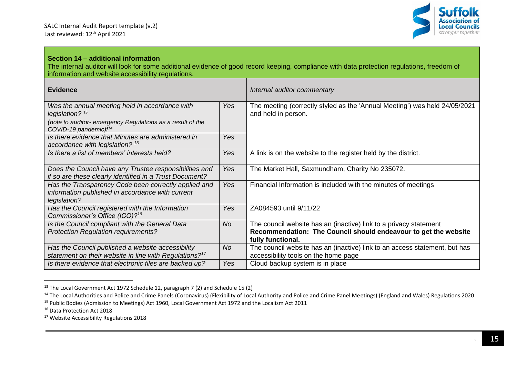

## **Section 14 – additional information**

The internal auditor will look for some additional evidence of good record keeping, compliance with data protection regulations, freedom of information and website accessibility regulations.

| <b>Evidence</b>                                                                                                          |            | Internal auditor commentary                                                                                                                               |
|--------------------------------------------------------------------------------------------------------------------------|------------|-----------------------------------------------------------------------------------------------------------------------------------------------------------|
| Was the annual meeting held in accordance with<br>legislation? $13$                                                      | Yes        | The meeting (correctly styled as the 'Annual Meeting') was held 24/05/2021<br>and held in person.                                                         |
| (note to auditor- emergency Regulations as a result of the<br>COVID-19 pandemic)f <sup>14</sup>                          |            |                                                                                                                                                           |
| Is there evidence that Minutes are administered in<br>accordance with legislation? <sup>15</sup>                         | Yes        |                                                                                                                                                           |
| Is there a list of members' interests held?                                                                              | Yes        | A link is on the website to the register held by the district.                                                                                            |
| Does the Council have any Trustee responsibilities and<br>if so are these clearly identified in a Trust Document?        | Yes        | The Market Hall, Saxmundham, Charity No 235072.                                                                                                           |
| Has the Transparency Code been correctly applied and<br>information published in accordance with current<br>legislation? | Yes        | Financial Information is included with the minutes of meetings                                                                                            |
| Has the Council registered with the Information<br>Commissioner's Office (ICO)? <sup>16</sup>                            | <b>Yes</b> | ZA084593 until 9/11/22                                                                                                                                    |
| Is the Council compliant with the General Data<br><b>Protection Regulation requirements?</b>                             | No         | The council website has an (inactive) link to a privacy statement<br>Recommendation: The Council should endeavour to get the website<br>fully functional. |
| Has the Council published a website accessibility<br>statement on their website in line with Regulations? $17$           | <b>No</b>  | The council website has an (inactive) link to an access statement, but has<br>accessibility tools on the home page                                        |
| Is there evidence that electronic files are backed up?                                                                   | Yes        | Cloud backup system is in place                                                                                                                           |

<sup>&</sup>lt;sup>13</sup> The Local Government Act 1972 Schedule 12, paragraph 7 (2) and Schedule 15 (2)

<sup>&</sup>lt;sup>14</sup> The Local Authorities and Police and Crime Panels (Coronavirus) (Flexibility of Local Authority and Police and Crime Panel Meetings) (England and Wales) Regulations 2020 <sup>15</sup> Public Bodies (Admission to Meetings) Act 1960, Local Government Act 1972 and the Localism Act 2011

<sup>16</sup> Data Protection Act 2018

<sup>&</sup>lt;sup>17</sup> Website Accessibility Regulations 2018